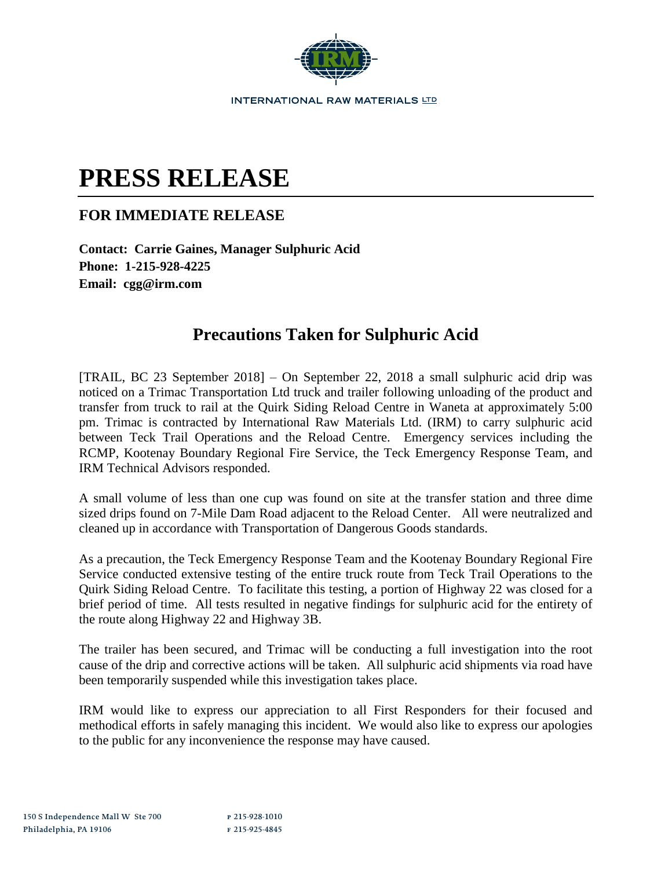

## **PRESS RELEASE**

## **FOR IMMEDIATE RELEASE**

**Contact: Carrie Gaines, Manager Sulphuric Acid Phone: 1-215-928-4225 Email: cgg@irm.com**

## **Precautions Taken for Sulphuric Acid**

[TRAIL, BC 23 September 2018]  $-$  On September 22, 2018 a small sulphuric acid drip was noticed on a Trimac Transportation Ltd truck and trailer following unloading of the product and transfer from truck to rail at the Quirk Siding Reload Centre in Waneta at approximately 5:00 pm. Trimac is contracted by International Raw Materials Ltd. (IRM) to carry sulphuric acid between Teck Trail Operations and the Reload Centre. Emergency services including the RCMP, Kootenay Boundary Regional Fire Service, the Teck Emergency Response Team, and IRM Technical Advisors responded.

A small volume of less than one cup was found on site at the transfer station and three dime sized drips found on 7-Mile Dam Road adjacent to the Reload Center. All were neutralized and cleaned up in accordance with Transportation of Dangerous Goods standards.

As a precaution, the Teck Emergency Response Team and the Kootenay Boundary Regional Fire Service conducted extensive testing of the entire truck route from Teck Trail Operations to the Quirk Siding Reload Centre. To facilitate this testing, a portion of Highway 22 was closed for a brief period of time. All tests resulted in negative findings for sulphuric acid for the entirety of the route along Highway 22 and Highway 3B.

The trailer has been secured, and Trimac will be conducting a full investigation into the root cause of the drip and corrective actions will be taken. All sulphuric acid shipments via road have been temporarily suspended while this investigation takes place.

IRM would like to express our appreciation to all First Responders for their focused and methodical efforts in safely managing this incident. We would also like to express our apologies to the public for any inconvenience the response may have caused.